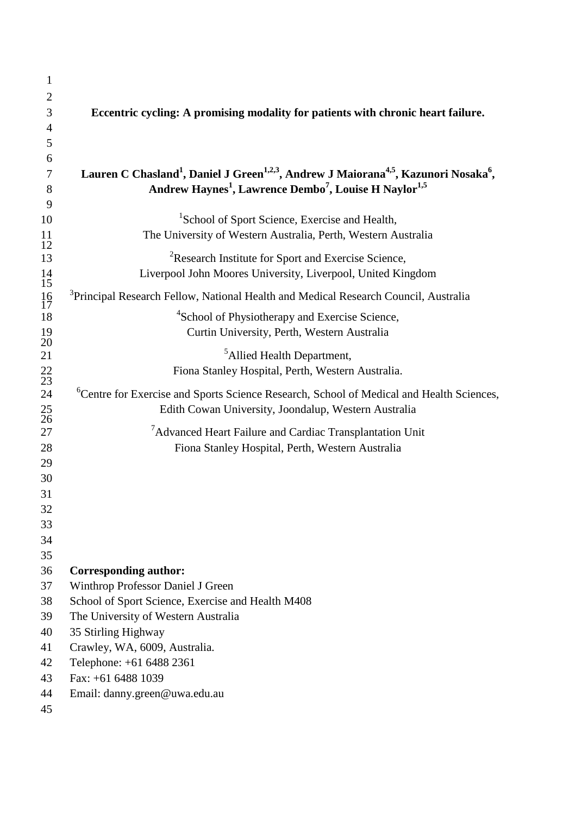| $\mathbf{1}$    |                                                                                                                                      |  |  |  |  |
|-----------------|--------------------------------------------------------------------------------------------------------------------------------------|--|--|--|--|
| $\overline{2}$  |                                                                                                                                      |  |  |  |  |
| 3               | Eccentric cycling: A promising modality for patients with chronic heart failure.                                                     |  |  |  |  |
| 4               |                                                                                                                                      |  |  |  |  |
| 5               |                                                                                                                                      |  |  |  |  |
| 6               |                                                                                                                                      |  |  |  |  |
| 7               | Lauren C Chasland <sup>1</sup> , Daniel J Green <sup>1,2,3</sup> , Andrew J Maiorana <sup>4,5</sup> , Kazunori Nosaka <sup>6</sup> , |  |  |  |  |
| 8               | Andrew Haynes <sup>1</sup> , Lawrence Dembo <sup>7</sup> , Louise H Naylor <sup>1,5</sup>                                            |  |  |  |  |
| 9<br>10         | <sup>1</sup> School of Sport Science, Exercise and Health,                                                                           |  |  |  |  |
| 11              | The University of Western Australia, Perth, Western Australia                                                                        |  |  |  |  |
| 12              |                                                                                                                                      |  |  |  |  |
| 13              | <sup>2</sup> Research Institute for Sport and Exercise Science,                                                                      |  |  |  |  |
| $\frac{14}{15}$ | Liverpool John Moores University, Liverpool, United Kingdom                                                                          |  |  |  |  |
| $\frac{16}{17}$ | <sup>3</sup> Principal Research Fellow, National Health and Medical Research Council, Australia                                      |  |  |  |  |
| 18              | <sup>4</sup> School of Physiotherapy and Exercise Science,                                                                           |  |  |  |  |
| $\frac{19}{20}$ | Curtin University, Perth, Western Australia                                                                                          |  |  |  |  |
| 21              | <sup>5</sup> Allied Health Department,                                                                                               |  |  |  |  |
|                 | Fiona Stanley Hospital, Perth, Western Australia.                                                                                    |  |  |  |  |
| $\frac{22}{23}$ |                                                                                                                                      |  |  |  |  |
| 24              | <sup>6</sup> Centre for Exercise and Sports Science Research, School of Medical and Health Sciences,                                 |  |  |  |  |
| $\frac{25}{26}$ | Edith Cowan University, Joondalup, Western Australia                                                                                 |  |  |  |  |
| 27              | $7$ Advanced Heart Failure and Cardiac Transplantation Unit                                                                          |  |  |  |  |
| 28              | Fiona Stanley Hospital, Perth, Western Australia                                                                                     |  |  |  |  |
| 29              |                                                                                                                                      |  |  |  |  |
| 30              |                                                                                                                                      |  |  |  |  |
| 31              |                                                                                                                                      |  |  |  |  |
| 32              |                                                                                                                                      |  |  |  |  |
| 33<br>34        |                                                                                                                                      |  |  |  |  |
| 35              |                                                                                                                                      |  |  |  |  |
| 36              | <b>Corresponding author:</b>                                                                                                         |  |  |  |  |
| 37              | Winthrop Professor Daniel J Green                                                                                                    |  |  |  |  |
| 38              | School of Sport Science, Exercise and Health M408                                                                                    |  |  |  |  |
| 39              | The University of Western Australia                                                                                                  |  |  |  |  |
| 40              | 35 Stirling Highway                                                                                                                  |  |  |  |  |
| 41              | Crawley, WA, 6009, Australia.                                                                                                        |  |  |  |  |
| 42              | Telephone: +61 6488 2361                                                                                                             |  |  |  |  |
| 43              | Fax: +61 6488 1039                                                                                                                   |  |  |  |  |
| 44              | Email: danny.green@uwa.edu.au                                                                                                        |  |  |  |  |
| 45              |                                                                                                                                      |  |  |  |  |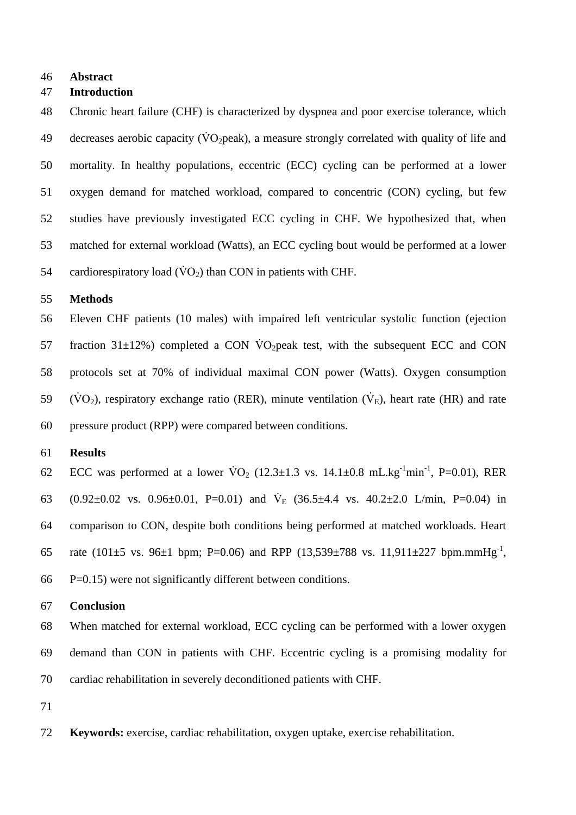#### **Abstract**

### **Introduction**

 Chronic heart failure (CHF) is characterized by dyspnea and poor exercise tolerance, which 49 decreases aerobic capacity ( $\dot{V}O_2$  peak), a measure strongly correlated with quality of life and mortality. In healthy populations, eccentric (ECC) cycling can be performed at a lower oxygen demand for matched workload, compared to concentric (CON) cycling, but few studies have previously investigated ECC cycling in CHF. We hypothesized that, when matched for external workload (Watts), an ECC cycling bout would be performed at a lower 54 cardiorespiratory load  $(\dot{V}O_2)$  than CON in patients with CHF.

#### **Methods**

 Eleven CHF patients (10 males) with impaired left ventricular systolic function (ejection 57 fraction  $31\pm12\%$ ) completed a CON VO<sub>2</sub> peak test, with the subsequent ECC and CON protocols set at 70% of individual maximal CON power (Watts). Oxygen consumption  $(VO_2)$ , respiratory exchange ratio (RER), minute ventilation ( $\dot{V}_E$ ), heart rate (HR) and rate pressure product (RPP) were compared between conditions.

### **Results**

62 ECC was performed at a lower  $\text{VO}_2$  (12.3 $\pm$ 1.3 vs. 14.1 $\pm$ 0.8 mL.kg<sup>-1</sup>min<sup>-1</sup>, P=0.01), RER 63  $(0.92\pm0.02 \text{ vs. } 0.96\pm0.01, \text{ P} = 0.01)$  and  $\dot{V}_{E}$  (36.5 $\pm$ 4.4 vs. 40.2 $\pm$ 2.0 L/min, P=0.04) in comparison to CON, despite both conditions being performed at matched workloads. Heart 65 rate (101 $\pm$ 5 vs. 96 $\pm$ 1 bpm; P=0.06) and RPP (13,539 $\pm$ 788 vs. 11,911 $\pm$ 227 bpm.mmHg<sup>-1</sup>, P=0.15) were not significantly different between conditions.

#### **Conclusion**

 When matched for external workload, ECC cycling can be performed with a lower oxygen demand than CON in patients with CHF. Eccentric cycling is a promising modality for cardiac rehabilitation in severely deconditioned patients with CHF.

- 
- **Keywords:** exercise, cardiac rehabilitation, oxygen uptake, exercise rehabilitation.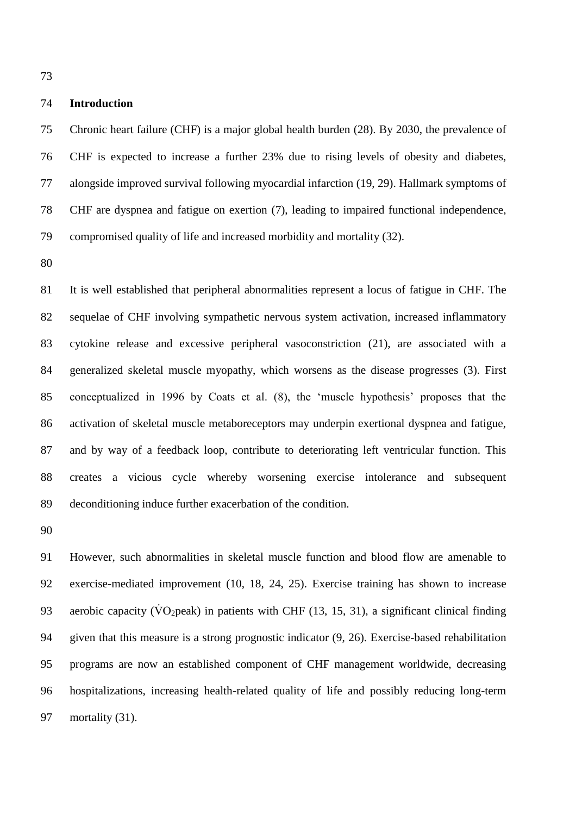**Introduction**

 Chronic heart failure (CHF) is a major global health burden (28). By 2030, the prevalence of CHF is expected to increase a further 23% due to rising levels of obesity and diabetes, alongside improved survival following myocardial infarction (19, 29). Hallmark symptoms of CHF are dyspnea and fatigue on exertion (7), leading to impaired functional independence, compromised quality of life and increased morbidity and mortality (32).

 It is well established that peripheral abnormalities represent a locus of fatigue in CHF. The sequelae of CHF involving sympathetic nervous system activation, increased inflammatory cytokine release and excessive peripheral vasoconstriction (21), are associated with a generalized skeletal muscle myopathy, which worsens as the disease progresses (3). First conceptualized in 1996 by Coats et al. (8), the 'muscle hypothesis' proposes that the activation of skeletal muscle metaboreceptors may underpin exertional dyspnea and fatigue, and by way of a feedback loop, contribute to deteriorating left ventricular function. This creates a vicious cycle whereby worsening exercise intolerance and subsequent deconditioning induce further exacerbation of the condition.

 However, such abnormalities in skeletal muscle function and blood flow are amenable to exercise-mediated improvement (10, 18, 24, 25). Exercise training has shown to increase 93 aerobic capacity ( $\rm\ddot{VO}_2$  peak) in patients with CHF (13, 15, 31), a significant clinical finding given that this measure is a strong prognostic indicator (9, 26). Exercise-based rehabilitation programs are now an established component of CHF management worldwide, decreasing hospitalizations, increasing health-related quality of life and possibly reducing long-term 97 mortality (31).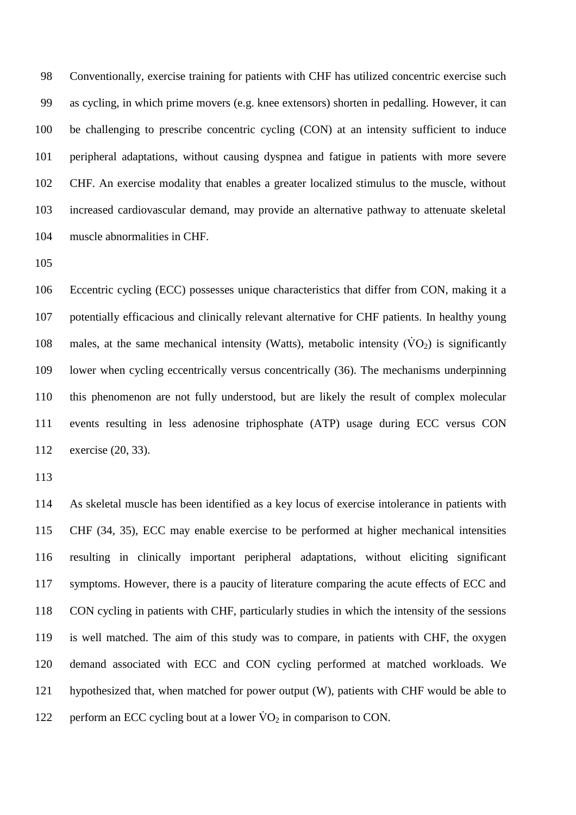Conventionally, exercise training for patients with CHF has utilized concentric exercise such as cycling, in which prime movers (e.g. knee extensors) shorten in pedalling. However, it can be challenging to prescribe concentric cycling (CON) at an intensity sufficient to induce peripheral adaptations, without causing dyspnea and fatigue in patients with more severe CHF. An exercise modality that enables a greater localized stimulus to the muscle, without increased cardiovascular demand, may provide an alternative pathway to attenuate skeletal muscle abnormalities in CHF.

 Eccentric cycling (ECC) possesses unique characteristics that differ from CON, making it a potentially efficacious and clinically relevant alternative for CHF patients. In healthy young 108 males, at the same mechanical intensity (Watts), metabolic intensity  $(\dot{V}O_2)$  is significantly lower when cycling eccentrically versus concentrically (36). The mechanisms underpinning this phenomenon are not fully understood, but are likely the result of complex molecular events resulting in less adenosine triphosphate (ATP) usage during ECC versus CON exercise (20, 33).

 As skeletal muscle has been identified as a key locus of exercise intolerance in patients with CHF (34, 35), ECC may enable exercise to be performed at higher mechanical intensities resulting in clinically important peripheral adaptations, without eliciting significant symptoms. However, there is a paucity of literature comparing the acute effects of ECC and CON cycling in patients with CHF, particularly studies in which the intensity of the sessions is well matched. The aim of this study was to compare, in patients with CHF, the oxygen demand associated with ECC and CON cycling performed at matched workloads. We hypothesized that, when matched for power output (W), patients with CHF would be able to 122 perform an ECC cycling bout at a lower  $\rm \dot{V}O_2$  in comparison to CON.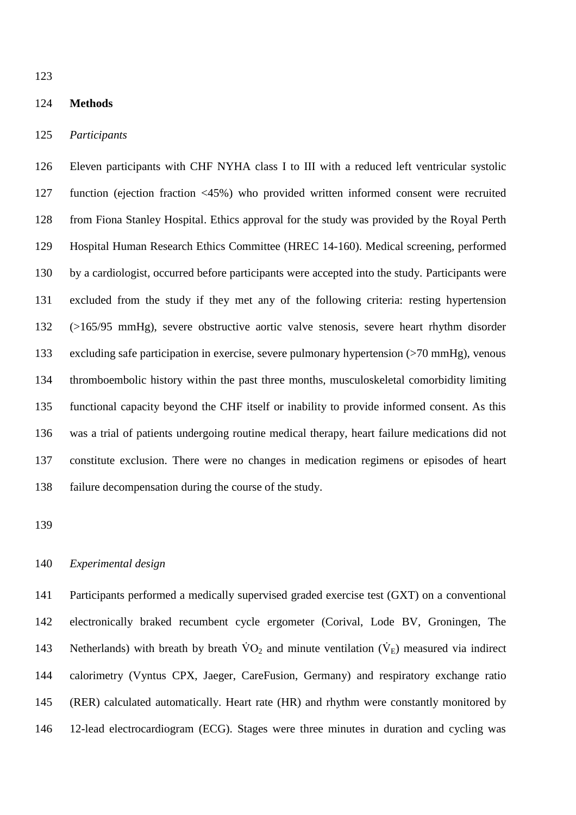### **Methods**

## *Participants*

 Eleven participants with CHF NYHA class I to III with a reduced left ventricular systolic function (ejection fraction <45%) who provided written informed consent were recruited from Fiona Stanley Hospital. Ethics approval for the study was provided by the Royal Perth Hospital Human Research Ethics Committee (HREC 14-160). Medical screening, performed by a cardiologist, occurred before participants were accepted into the study. Participants were excluded from the study if they met any of the following criteria: resting hypertension (>165/95 mmHg), severe obstructive aortic valve stenosis, severe heart rhythm disorder excluding safe participation in exercise, severe pulmonary hypertension (>70 mmHg), venous thromboembolic history within the past three months, musculoskeletal comorbidity limiting functional capacity beyond the CHF itself or inability to provide informed consent. As this was a trial of patients undergoing routine medical therapy, heart failure medications did not constitute exclusion. There were no changes in medication regimens or episodes of heart failure decompensation during the course of the study.

# *Experimental design*

 Participants performed a medically supervised graded exercise test (GXT) on a conventional electronically braked recumbent cycle ergometer (Corival, Lode BV, Groningen, The 143 Netherlands) with breath by breath  $\rm\dot{V}O_2$  and minute ventilation  $(\rm\dot{V}_{E})$  measured via indirect calorimetry (Vyntus CPX, Jaeger, CareFusion, Germany) and respiratory exchange ratio (RER) calculated automatically. Heart rate (HR) and rhythm were constantly monitored by 12-lead electrocardiogram (ECG). Stages were three minutes in duration and cycling was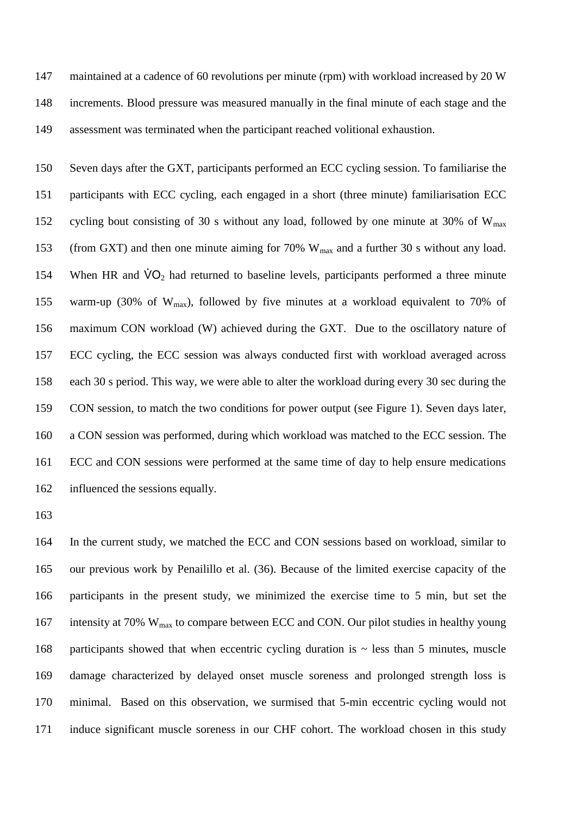maintained at a cadence of 60 revolutions per minute (rpm) with workload increased by 20 W increments. Blood pressure was measured manually in the final minute of each stage and the assessment was terminated when the participant reached volitional exhaustion.

 Seven days after the GXT, participants performed an ECC cycling session. To familiarise the participants with ECC cycling, each engaged in a short (three minute) familiarisation ECC 152 cycling bout consisting of 30 s without any load, followed by one minute at 30% of  $W_{\text{max}}$ 153 (from GXT) and then one minute aiming for 70% W<sub>max</sub> and a further 30 s without any load. 154 When HR and  $\dot{V}O_2$  had returned to baseline levels, participants performed a three minute 155 warm-up (30% of  $W_{\text{max}}$ ), followed by five minutes at a workload equivalent to 70% of maximum CON workload (W) achieved during the GXT. Due to the oscillatory nature of ECC cycling, the ECC session was always conducted first with workload averaged across each 30 s period. This way, we were able to alter the workload during every 30 sec during the CON session, to match the two conditions for power output (see Figure 1). Seven days later, a CON session was performed, during which workload was matched to the ECC session. The ECC and CON sessions were performed at the same time of day to help ensure medications influenced the sessions equally.

 In the current study, we matched the ECC and CON sessions based on workload, similar to our previous work by Penailillo et al. (36). Because of the limited exercise capacity of the participants in the present study, we minimized the exercise time to 5 min, but set the 167 intensity at 70% W<sub>max</sub> to compare between ECC and CON. Our pilot studies in healthy young 168 participants showed that when eccentric cycling duration is  $\sim$  less than 5 minutes, muscle damage characterized by delayed onset muscle soreness and prolonged strength loss is minimal. Based on this observation, we surmised that 5-min eccentric cycling would not induce significant muscle soreness in our CHF cohort. The workload chosen in this study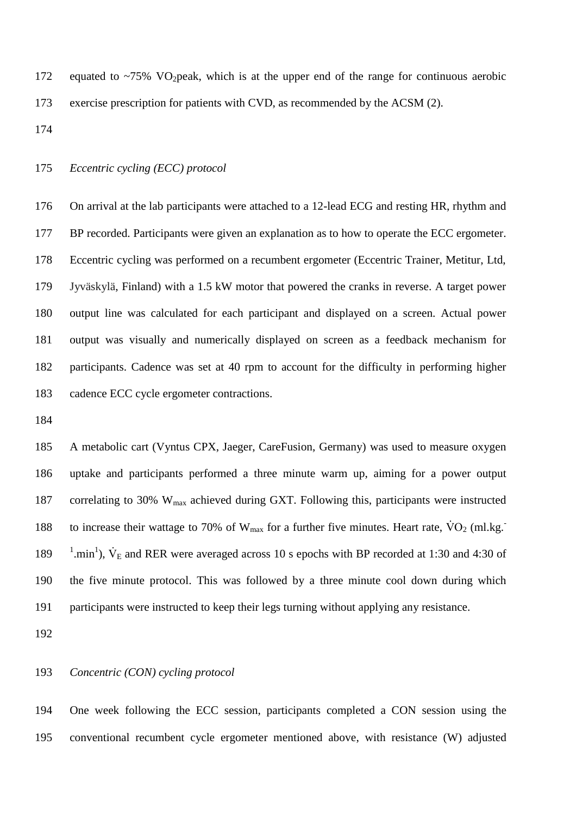172 equated to  $\sim$ 75% VO<sub>2</sub> peak, which is at the upper end of the range for continuous aerobic exercise prescription for patients with CVD, as recommended by the ACSM (2).

# *Eccentric cycling (ECC) protocol*

 On arrival at the lab participants were attached to a 12-lead ECG and resting HR, rhythm and BP recorded. Participants were given an explanation as to how to operate the ECC ergometer. Eccentric cycling was performed on a recumbent ergometer (Eccentric Trainer, Metitur, Ltd, Jyväskylä, Finland) with a 1.5 kW motor that powered the cranks in reverse. A target power output line was calculated for each participant and displayed on a screen. Actual power output was visually and numerically displayed on screen as a feedback mechanism for participants. Cadence was set at 40 rpm to account for the difficulty in performing higher cadence ECC cycle ergometer contractions.

 A metabolic cart (Vyntus CPX, Jaeger, CareFusion, Germany) was used to measure oxygen uptake and participants performed a three minute warm up, aiming for a power output 187 correlating to 30% W<sub>max</sub> achieved during GXT. Following this, participants were instructed to increase their wattage to 70% of  $W_{max}$  for a further five minutes. Heart rate,  $\dot{V}O_2$  (ml.kg. 189 <sup>1</sup>.min<sup>1</sup>),  $\dot{V}_E$  and RER were averaged across 10 s epochs with BP recorded at 1:30 and 4:30 of the five minute protocol. This was followed by a three minute cool down during which participants were instructed to keep their legs turning without applying any resistance.

## *Concentric (CON) cycling protocol*

 One week following the ECC session, participants completed a CON session using the conventional recumbent cycle ergometer mentioned above, with resistance (W) adjusted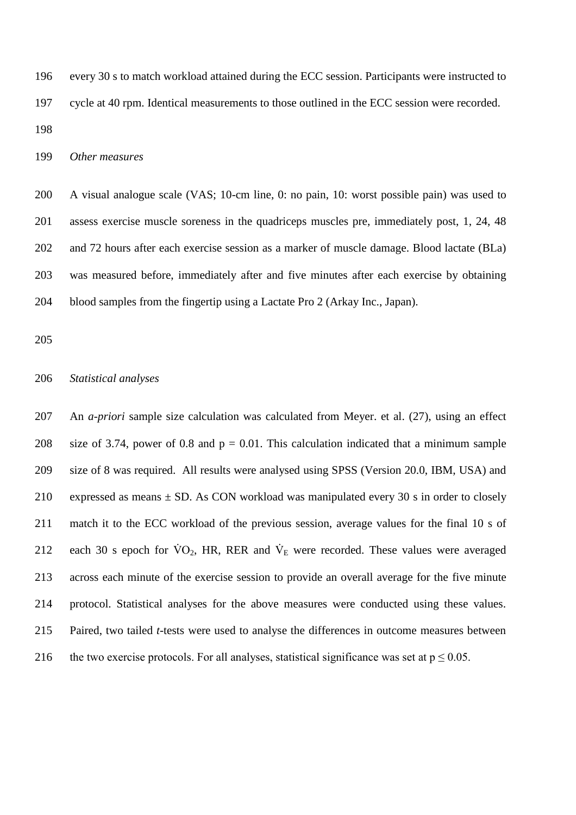every 30 s to match workload attained during the ECC session. Participants were instructed to cycle at 40 rpm. Identical measurements to those outlined in the ECC session were recorded. 

*Other measures*

 A visual analogue scale (VAS; 10-cm line, 0: no pain, 10: worst possible pain) was used to assess exercise muscle soreness in the quadriceps muscles pre, immediately post, 1, 24, 48 and 72 hours after each exercise session as a marker of muscle damage. Blood lactate (BLa) was measured before, immediately after and five minutes after each exercise by obtaining blood samples from the fingertip using a Lactate Pro 2 (Arkay Inc., Japan).

## *Statistical analyses*

 An *a-priori* sample size calculation was calculated from Meyer. et al. (27), using an effect 208 size of 3.74, power of 0.8 and  $p = 0.01$ . This calculation indicated that a minimum sample size of 8 was required. All results were analysed using SPSS (Version 20.0, IBM, USA) and 210 expressed as means  $\pm$  SD. As CON workload was manipulated every 30 s in order to closely match it to the ECC workload of the previous session, average values for the final 10 s of 212 each 30 s epoch for  $\dot{V}O_2$ , HR, RER and  $\dot{V}_E$  were recorded. These values were averaged across each minute of the exercise session to provide an overall average for the five minute protocol. Statistical analyses for the above measures were conducted using these values. Paired, two tailed *t*-tests were used to analyse the differences in outcome measures between 216 the two exercise protocols. For all analyses, statistical significance was set at  $p \le 0.05$ .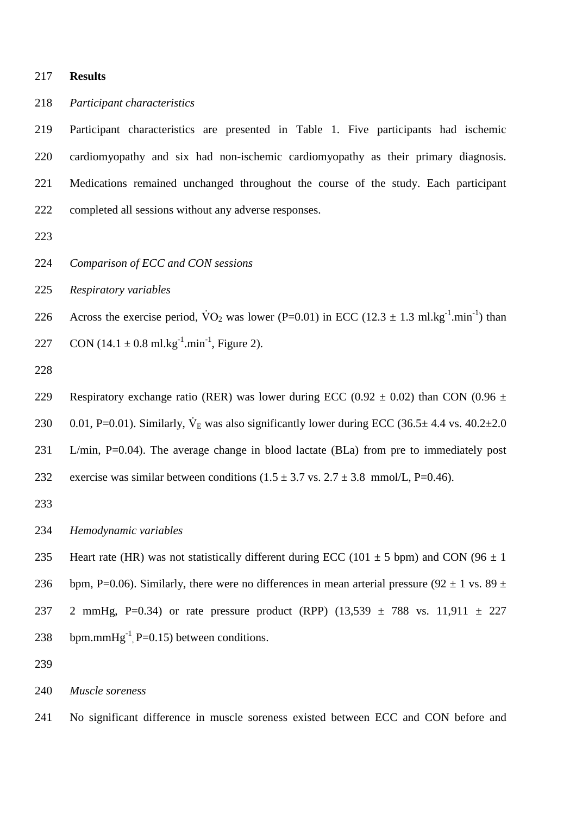**Results**

*Participant characteristics*

 Participant characteristics are presented in Table 1. Five participants had ischemic cardiomyopathy and six had non-ischemic cardiomyopathy as their primary diagnosis. Medications remained unchanged throughout the course of the study. Each participant completed all sessions without any adverse responses.

- 
- *Comparison of ECC and CON sessions*
- *Respiratory variables*

226 Across the exercise period,  $\text{VO}_2$  was lower (P=0.01) in ECC (12.3  $\pm$  1.3 ml.kg<sup>-1</sup>.min<sup>-1</sup>) than 227 CON  $(14.1 \pm 0.8 \text{ ml} \cdot \text{kg}^{-1} \cdot \text{min}^{-1}$ , Figure 2).

229 Respiratory exchange ratio (RER) was lower during ECC (0.92  $\pm$  0.02) than CON (0.96  $\pm$ 230 0.01, P=0.01). Similarly,  $\dot{V}_E$  was also significantly lower during ECC (36.5 $\pm$  4.4 vs. 40.2 $\pm$ 2.0 L/min, P=0.04). The average change in blood lactate (BLa) from pre to immediately post 232 exercise was similar between conditions  $(1.5 \pm 3.7 \text{ vs. } 2.7 \pm 3.8 \text{ mmol/L}, P=0.46)$ .

*Hemodynamic variables*

235 Heart rate (HR) was not statistically different during ECC (101  $\pm$  5 bpm) and CON (96  $\pm$  1 236 bpm, P=0.06). Similarly, there were no differences in mean arterial pressure (92  $\pm$  1 vs. 89  $\pm$ 237 2 mmHg, P=0.34) or rate pressure product (RPP)  $(13,539 \pm 788 \text{ vs. } 11,911 \pm 227)$ 238 bpm.mm $Hg^{-1}$ , P=0.15) between conditions.

*Muscle soreness*

No significant difference in muscle soreness existed between ECC and CON before and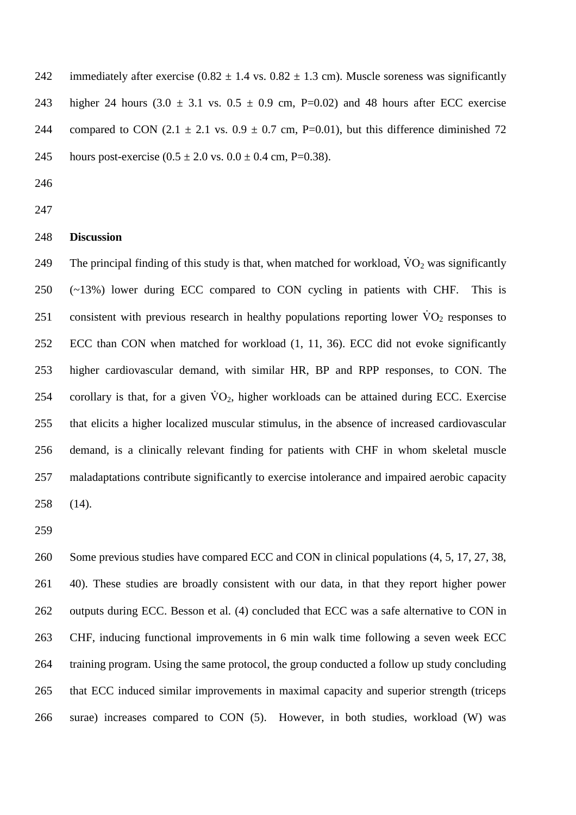242 immediately after exercise  $(0.82 \pm 1.4 \text{ vs. } 0.82 \pm 1.3 \text{ cm})$ . Muscle soreness was significantly 243 higher 24 hours  $(3.0 \pm 3.1 \text{ vs. } 0.5 \pm 0.9 \text{ cm}, \text{ P=0.02})$  and 48 hours after ECC exercise 244 compared to CON  $(2.1 \pm 2.1 \text{ vs. } 0.9 \pm 0.7 \text{ cm}, \text{ P=0.01})$ , but this difference diminished 72 245 hours post-exercise  $(0.5 \pm 2.0 \text{ vs. } 0.0 \pm 0.4 \text{ cm}, P=0.38)$ .

- 
- 

### **Discussion**

249 The principal finding of this study is that, when matched for workload,  $\dot{V}O_2$  was significantly (~13%) lower during ECC compared to CON cycling in patients with CHF. This is 251 consistent with previous research in healthy populations reporting lower  $\rm\ddot{V}O_{2}$  responses to ECC than CON when matched for workload (1, 11, 36). ECC did not evoke significantly higher cardiovascular demand, with similar HR, BP and RPP responses, to CON. The 254 corollary is that, for a given  $\rm \dot{V}O_2$ , higher workloads can be attained during ECC. Exercise that elicits a higher localized muscular stimulus, in the absence of increased cardiovascular demand, is a clinically relevant finding for patients with CHF in whom skeletal muscle maladaptations contribute significantly to exercise intolerance and impaired aerobic capacity (14).

 Some previous studies have compared ECC and CON in clinical populations (4, 5, 17, 27, 38, 40). These studies are broadly consistent with our data, in that they report higher power outputs during ECC. Besson et al. (4) concluded that ECC was a safe alternative to CON in CHF, inducing functional improvements in 6 min walk time following a seven week ECC training program. Using the same protocol, the group conducted a follow up study concluding that ECC induced similar improvements in maximal capacity and superior strength (triceps surae) increases compared to CON (5). However, in both studies, workload (W) was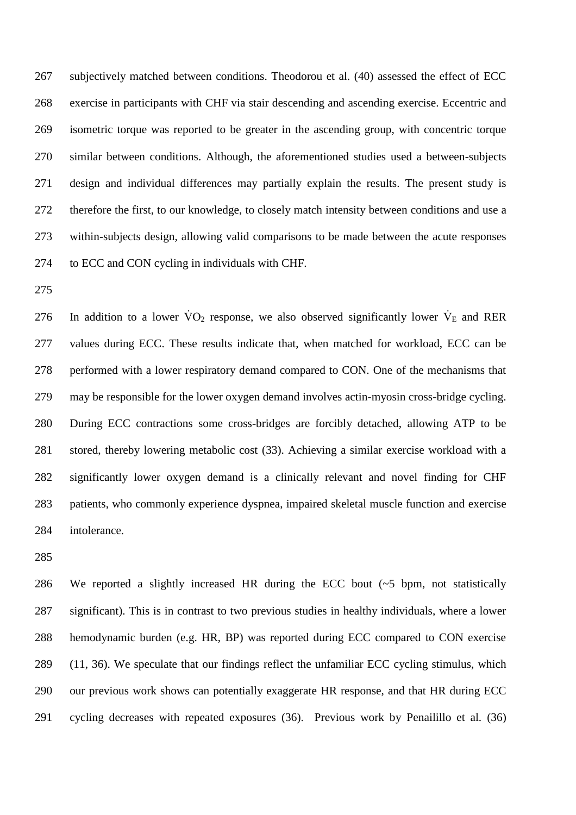267 subjectively matched between conditions. Theodorou et al. (40) assessed the effect of ECC exercise in participants with CHF via stair descending and ascending exercise. Eccentric and isometric torque was reported to be greater in the ascending group, with concentric torque similar between conditions. Although, the aforementioned studies used a between-subjects design and individual differences may partially explain the results. The present study is therefore the first, to our knowledge, to closely match intensity between conditions and use a within-subjects design, allowing valid comparisons to be made between the acute responses to ECC and CON cycling in individuals with CHF.

276 In addition to a lower  $\dot{V}O_2$  response, we also observed significantly lower  $\dot{V}_E$  and RER values during ECC. These results indicate that, when matched for workload, ECC can be performed with a lower respiratory demand compared to CON. One of the mechanisms that may be responsible for the lower oxygen demand involves actin-myosin cross-bridge cycling. During ECC contractions some cross-bridges are forcibly detached, allowing ATP to be stored, thereby lowering metabolic cost (33). Achieving a similar exercise workload with a significantly lower oxygen demand is a clinically relevant and novel finding for CHF patients, who commonly experience dyspnea, impaired skeletal muscle function and exercise intolerance.

 We reported a slightly increased HR during the ECC bout (~5 bpm, not statistically significant). This is in contrast to two previous studies in healthy individuals, where a lower hemodynamic burden (e.g. HR, BP) was reported during ECC compared to CON exercise (11, 36). We speculate that our findings reflect the unfamiliar ECC cycling stimulus, which our previous work shows can potentially exaggerate HR response, and that HR during ECC cycling decreases with repeated exposures (36). Previous work by Penailillo et al. (36)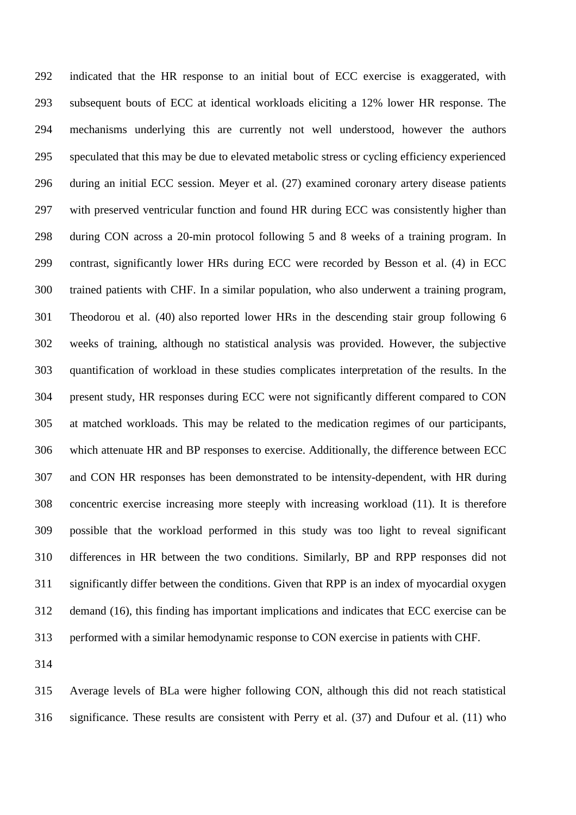indicated that the HR response to an initial bout of ECC exercise is exaggerated, with subsequent bouts of ECC at identical workloads eliciting a 12% lower HR response. The mechanisms underlying this are currently not well understood, however the authors speculated that this may be due to elevated metabolic stress or cycling efficiency experienced during an initial ECC session. Meyer et al. (27) examined coronary artery disease patients with preserved ventricular function and found HR during ECC was consistently higher than during CON across a 20-min protocol following 5 and 8 weeks of a training program. In contrast, significantly lower HRs during ECC were recorded by Besson et al. (4) in ECC trained patients with CHF. In a similar population, who also underwent a training program, Theodorou et al. (40) also reported lower HRs in the descending stair group following 6 weeks of training, although no statistical analysis was provided. However, the subjective quantification of workload in these studies complicates interpretation of the results. In the present study, HR responses during ECC were not significantly different compared to CON at matched workloads. This may be related to the medication regimes of our participants, which attenuate HR and BP responses to exercise. Additionally, the difference between ECC and CON HR responses has been demonstrated to be intensity-dependent, with HR during concentric exercise increasing more steeply with increasing workload (11). It is therefore possible that the workload performed in this study was too light to reveal significant differences in HR between the two conditions. Similarly, BP and RPP responses did not significantly differ between the conditions. Given that RPP is an index of myocardial oxygen demand (16), this finding has important implications and indicates that ECC exercise can be performed with a similar hemodynamic response to CON exercise in patients with CHF.

 Average levels of BLa were higher following CON, although this did not reach statistical significance. These results are consistent with Perry et al. (37) and Dufour et al. (11) who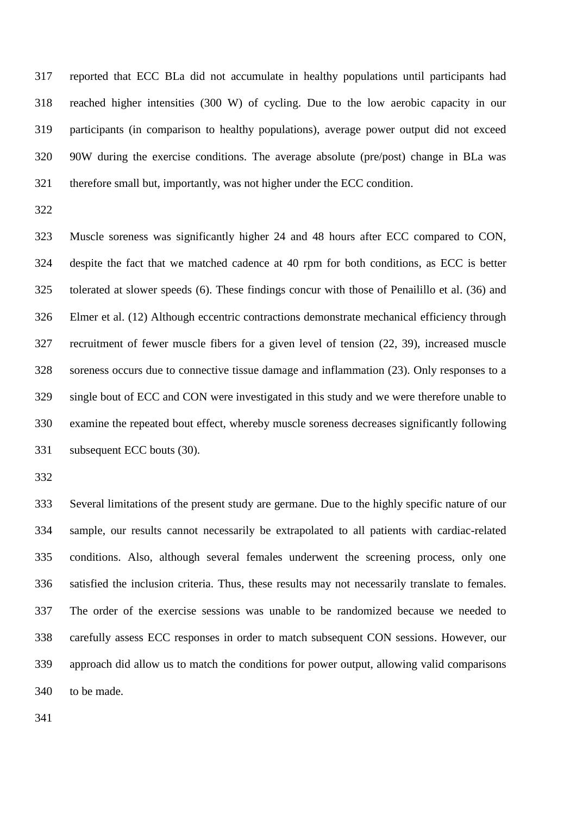reported that ECC BLa did not accumulate in healthy populations until participants had reached higher intensities (300 W) of cycling. Due to the low aerobic capacity in our participants (in comparison to healthy populations), average power output did not exceed 90W during the exercise conditions. The average absolute (pre/post) change in BLa was therefore small but, importantly, was not higher under the ECC condition.

 Muscle soreness was significantly higher 24 and 48 hours after ECC compared to CON, despite the fact that we matched cadence at 40 rpm for both conditions, as ECC is better tolerated at slower speeds (6). These findings concur with those of Penailillo et al. (36) and Elmer et al. (12) Although eccentric contractions demonstrate mechanical efficiency through recruitment of fewer muscle fibers for a given level of tension (22, 39), increased muscle soreness occurs due to connective tissue damage and inflammation (23). Only responses to a single bout of ECC and CON were investigated in this study and we were therefore unable to examine the repeated bout effect, whereby muscle soreness decreases significantly following subsequent ECC bouts (30).

 Several limitations of the present study are germane. Due to the highly specific nature of our sample, our results cannot necessarily be extrapolated to all patients with cardiac-related conditions. Also, although several females underwent the screening process, only one satisfied the inclusion criteria. Thus, these results may not necessarily translate to females. The order of the exercise sessions was unable to be randomized because we needed to carefully assess ECC responses in order to match subsequent CON sessions. However, our approach did allow us to match the conditions for power output, allowing valid comparisons to be made.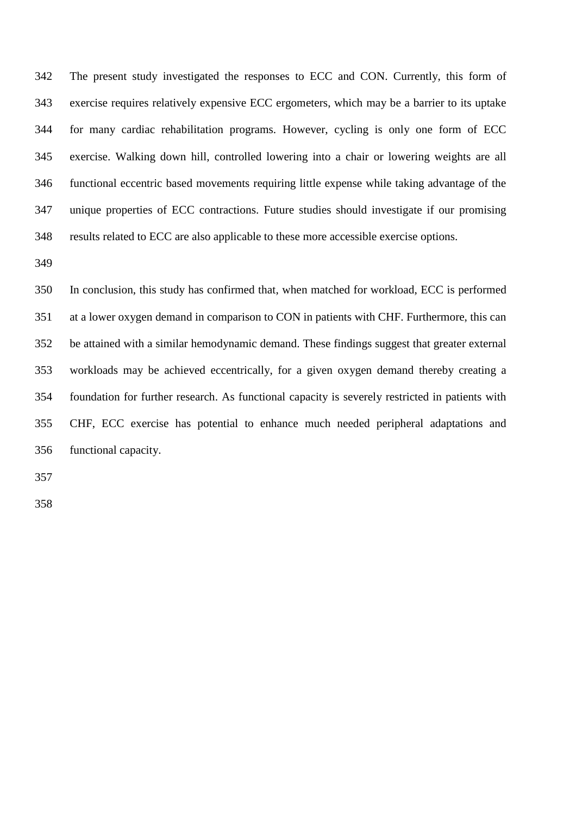The present study investigated the responses to ECC and CON. Currently, this form of exercise requires relatively expensive ECC ergometers, which may be a barrier to its uptake for many cardiac rehabilitation programs. However, cycling is only one form of ECC exercise. Walking down hill, controlled lowering into a chair or lowering weights are all functional eccentric based movements requiring little expense while taking advantage of the unique properties of ECC contractions. Future studies should investigate if our promising results related to ECC are also applicable to these more accessible exercise options.

 In conclusion, this study has confirmed that, when matched for workload, ECC is performed at a lower oxygen demand in comparison to CON in patients with CHF. Furthermore, this can be attained with a similar hemodynamic demand. These findings suggest that greater external workloads may be achieved eccentrically, for a given oxygen demand thereby creating a foundation for further research. As functional capacity is severely restricted in patients with CHF, ECC exercise has potential to enhance much needed peripheral adaptations and functional capacity.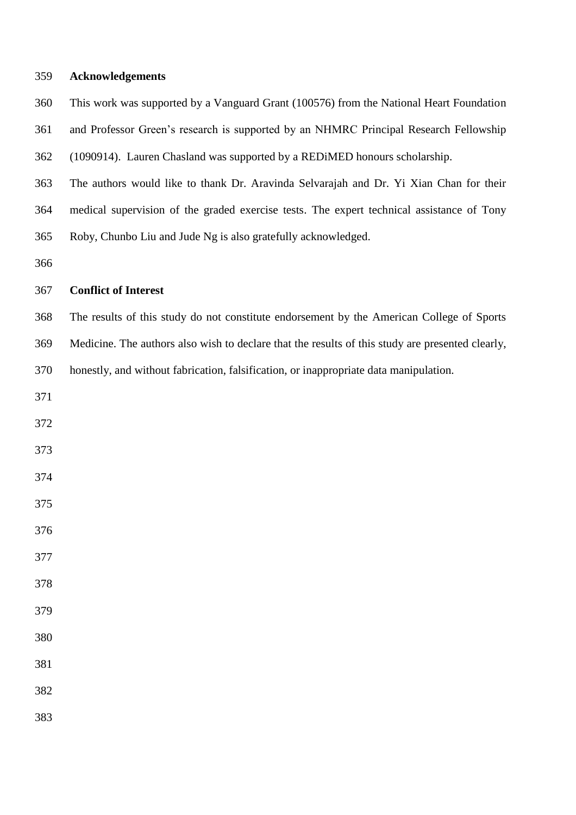| 359 | <b>Acknowledgements</b> |
|-----|-------------------------|
|-----|-------------------------|

| 360 | This work was supported by a Vanguard Grant (100576) from the National Heart Foundation |
|-----|-----------------------------------------------------------------------------------------|
| 361 | and Professor Green's research is supported by an NHMRC Principal Research Fellowship   |
| 362 | (1090914). Lauren Chasland was supported by a REDIMED honours scholarship.              |

 The authors would like to thank Dr. Aravinda Selvarajah and Dr. Yi Xian Chan for their medical supervision of the graded exercise tests. The expert technical assistance of Tony Roby, Chunbo Liu and Jude Ng is also gratefully acknowledged.

# **Conflict of Interest**

 The results of this study do not constitute endorsement by the American College of Sports Medicine. The authors also wish to declare that the results of this study are presented clearly, honestly, and without fabrication, falsification, or inappropriate data manipulation.

- 
- 
- 
- 
- 
- 
- 
- 
- 
- 
- 
- 
-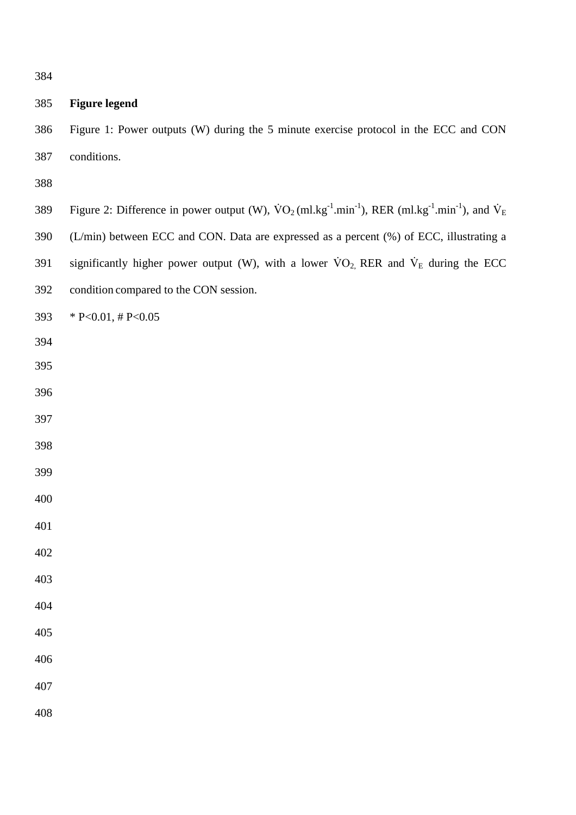# **Figure legend**

 Figure 1: Power outputs (W) during the 5 minute exercise protocol in the ECC and CON conditions.

- 389 Figure 2: Difference in power output (W),  $\text{VO}_2(\text{ml.kg}^{-1}.\text{min}^{-1})$ , RER (ml.kg<sup>-1</sup>.min<sup>-1</sup>), and  $\text{V}_E$
- (L/min) between ECC and CON. Data are expressed as a percent (%) of ECC, illustrating a
- 391 significantly higher power output (W), with a lower  $\rm{VO}_2$ , RER and  $\rm{V}_E$  during the ECC
- condition compared to the CON session.
- 393  $* P< 0.01, \# P< 0.05$
- 
- 
- 
- 
- 
- 
- 
- 
- 
- 
- 
- 
- 
- 
- 
-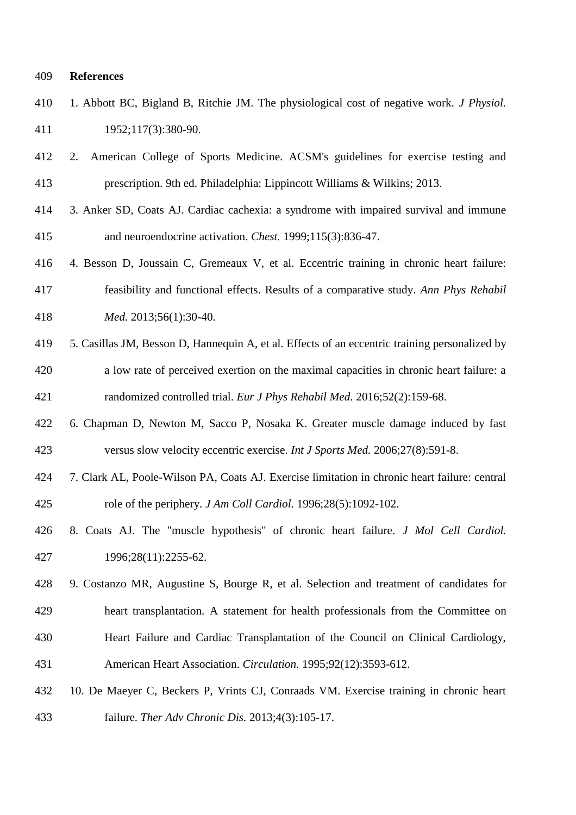#### **References**

- 1. Abbott BC, Bigland B, Ritchie JM. The physiological cost of negative work. *J Physiol.* 1952;117(3):380-90.
- 2. American College of Sports Medicine. ACSM's guidelines for exercise testing and 413 prescription. 9th ed. Philadelphia: Lippincott Williams & Wilkins; 2013.
- 3. Anker SD, Coats AJ. Cardiac cachexia: a syndrome with impaired survival and immune and neuroendocrine activation. *Chest.* 1999;115(3):836-47.
- 4. Besson D, Joussain C, Gremeaux V, et al. Eccentric training in chronic heart failure: feasibility and functional effects. Results of a comparative study. *Ann Phys Rehabil Med.* 2013;56(1):30-40.
- 5. Casillas JM, Besson D, Hannequin A, et al. Effects of an eccentric training personalized by a low rate of perceived exertion on the maximal capacities in chronic heart failure: a randomized controlled trial. *Eur J Phys Rehabil Med.* 2016;52(2):159-68.
- 6. Chapman D, Newton M, Sacco P, Nosaka K. Greater muscle damage induced by fast versus slow velocity eccentric exercise. *Int J Sports Med.* 2006;27(8):591-8.
- 7. Clark AL, Poole-Wilson PA, Coats AJ. Exercise limitation in chronic heart failure: central role of the periphery. *J Am Coll Cardiol.* 1996;28(5):1092-102.
- 8. Coats AJ. The "muscle hypothesis" of chronic heart failure. *J Mol Cell Cardiol.*  1996;28(11):2255-62.
- 9. Costanzo MR, Augustine S, Bourge R, et al. Selection and treatment of candidates for heart transplantation. A statement for health professionals from the Committee on Heart Failure and Cardiac Transplantation of the Council on Clinical Cardiology, American Heart Association. *Circulation.* 1995;92(12):3593-612.
- 10. De Maeyer C, Beckers P, Vrints CJ, Conraads VM. Exercise training in chronic heart failure. *Ther Adv Chronic Dis.* 2013;4(3):105-17.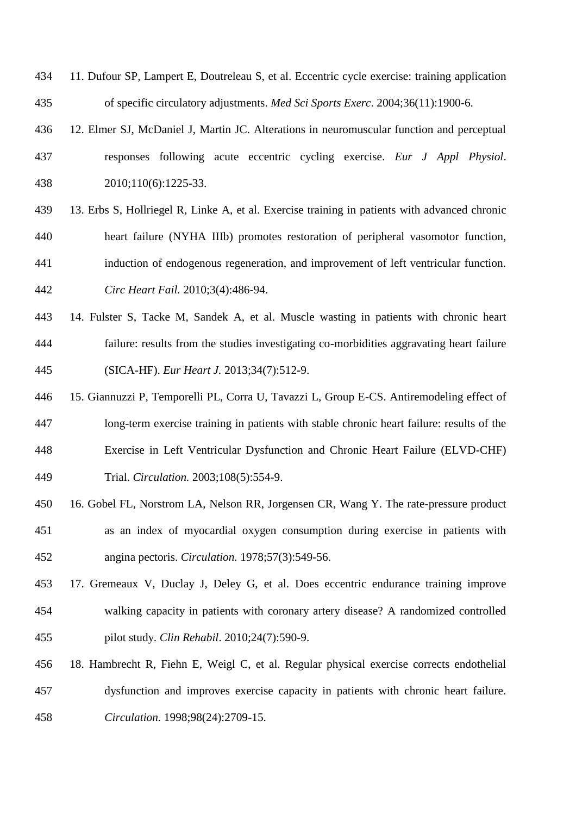- 11. Dufour SP, Lampert E, Doutreleau S, et al. Eccentric cycle exercise: training application of specific circulatory adjustments. *Med Sci Sports Exerc*. 2004;36(11):1900-6.
- 12. Elmer SJ, McDaniel J, Martin JC. Alterations in neuromuscular function and perceptual responses following acute eccentric cycling exercise. *Eur J Appl Physiol*. 2010;110(6):1225-33.
- 13. Erbs S, Hollriegel R, Linke A, et al. Exercise training in patients with advanced chronic heart failure (NYHA IIIb) promotes restoration of peripheral vasomotor function, induction of endogenous regeneration, and improvement of left ventricular function. *Circ Heart Fail.* 2010;3(4):486-94.
- 14. Fulster S, Tacke M, Sandek A, et al. Muscle wasting in patients with chronic heart failure: results from the studies investigating co-morbidities aggravating heart failure (SICA-HF). *Eur Heart J.* 2013;34(7):512-9.
- 15. Giannuzzi P, Temporelli PL, Corra U, Tavazzi L, Group E-CS. Antiremodeling effect of long-term exercise training in patients with stable chronic heart failure: results of the Exercise in Left Ventricular Dysfunction and Chronic Heart Failure (ELVD-CHF) Trial. *Circulation.* 2003;108(5):554-9.
- 16. Gobel FL, Norstrom LA, Nelson RR, Jorgensen CR, Wang Y. The rate-pressure product as an index of myocardial oxygen consumption during exercise in patients with angina pectoris. *Circulation.* 1978;57(3):549-56.
- 17. Gremeaux V, Duclay J, Deley G, et al. Does eccentric endurance training improve walking capacity in patients with coronary artery disease? A randomized controlled pilot study. *Clin Rehabil*. 2010;24(7):590-9.
- 18. Hambrecht R, Fiehn E, Weigl C, et al. Regular physical exercise corrects endothelial dysfunction and improves exercise capacity in patients with chronic heart failure. *Circulation.* 1998;98(24):2709-15.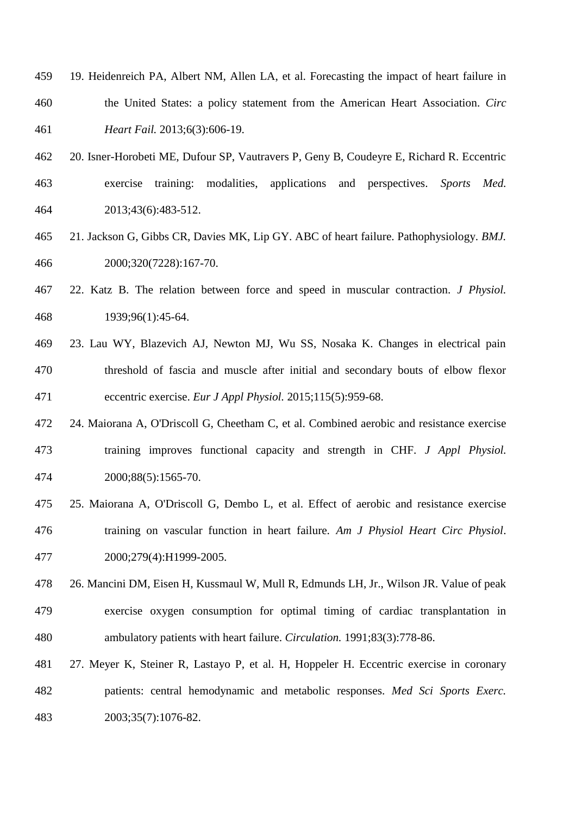- 19. Heidenreich PA, Albert NM, Allen LA, et al. Forecasting the impact of heart failure in the United States: a policy statement from the American Heart Association. *Circ Heart Fail.* 2013;6(3):606-19.
- 20. Isner-Horobeti ME, Dufour SP, Vautravers P, Geny B, Coudeyre E, Richard R. Eccentric exercise training: modalities, applications and perspectives. *Sports Med.*  2013;43(6):483-512.
- 21. Jackson G, Gibbs CR, Davies MK, Lip GY. ABC of heart failure. Pathophysiology. *BMJ.*  2000;320(7228):167-70.
- 22. Katz B. The relation between force and speed in muscular contraction. *J Physiol.* 1939;96(1):45-64.
- 23. Lau WY, Blazevich AJ, Newton MJ, Wu SS, Nosaka K. Changes in electrical pain threshold of fascia and muscle after initial and secondary bouts of elbow flexor eccentric exercise. *Eur J Appl Physiol.* 2015;115(5):959-68.
- 24. Maiorana A, O'Driscoll G, Cheetham C, et al. Combined aerobic and resistance exercise training improves functional capacity and strength in CHF. *J Appl Physiol.* 2000;88(5):1565-70.
- 25. Maiorana A, O'Driscoll G, Dembo L, et al. Effect of aerobic and resistance exercise training on vascular function in heart failure. *Am J Physiol Heart Circ Physiol*. 2000;279(4):H1999-2005.
- 26. Mancini DM, Eisen H, Kussmaul W, Mull R, Edmunds LH, Jr., Wilson JR. Value of peak exercise oxygen consumption for optimal timing of cardiac transplantation in ambulatory patients with heart failure. *Circulation.* 1991;83(3):778-86.
- 27. Meyer K, Steiner R, Lastayo P, et al. H, Hoppeler H. Eccentric exercise in coronary patients: central hemodynamic and metabolic responses. *Med Sci Sports Exerc.* 2003;35(7):1076-82.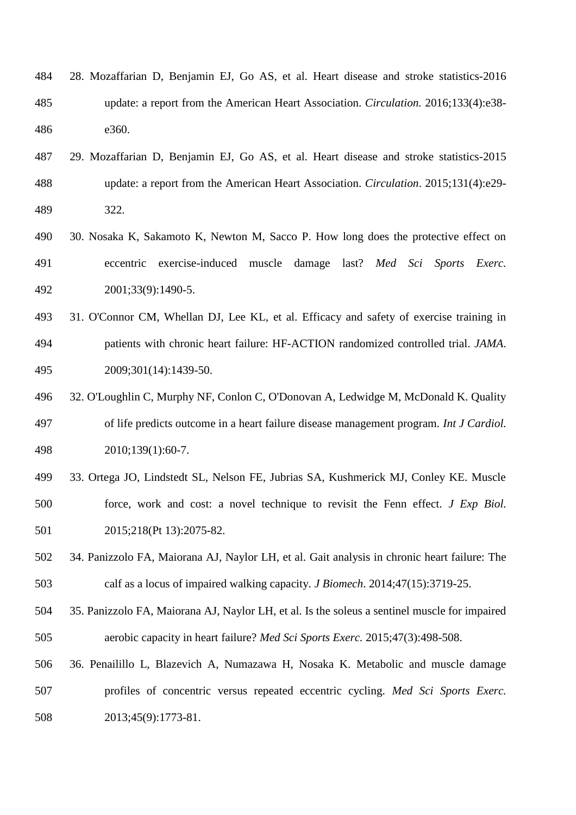| 484 | 28. Mozaffarian D, Benjamin EJ, Go AS, et al. Heart disease and stroke statistics-2016      |
|-----|---------------------------------------------------------------------------------------------|
| 485 | update: a report from the American Heart Association. <i>Circulation</i> . 2016;133(4):e38- |
| 486 | e360.                                                                                       |

- 29. Mozaffarian D, Benjamin EJ, Go AS, et al. Heart disease and stroke statistics-2015 update: a report from the American Heart Association. *Circulation*. 2015;131(4):e29- 322.
- 30. Nosaka K, Sakamoto K, Newton M, Sacco P. How long does the protective effect on eccentric exercise-induced muscle damage last? *Med Sci Sports Exerc.* 2001;33(9):1490-5.
- 31. O'Connor CM, Whellan DJ, Lee KL, et al. Efficacy and safety of exercise training in patients with chronic heart failure: HF-ACTION randomized controlled trial. *JAMA*. 2009;301(14):1439-50.
- 32. O'Loughlin C, Murphy NF, Conlon C, O'Donovan A, Ledwidge M, McDonald K. Quality of life predicts outcome in a heart failure disease management program. *Int J Cardiol.* 2010;139(1):60-7.
- 33. Ortega JO, Lindstedt SL, Nelson FE, Jubrias SA, Kushmerick MJ, Conley KE. Muscle force, work and cost: a novel technique to revisit the Fenn effect. *J Exp Biol.*  501 2015;218(Pt 13):2075-82.
- 34. Panizzolo FA, Maiorana AJ, Naylor LH, et al. Gait analysis in chronic heart failure: The calf as a locus of impaired walking capacity. *J Biomech*. 2014;47(15):3719-25.
- 35. Panizzolo FA, Maiorana AJ, Naylor LH, et al. Is the soleus a sentinel muscle for impaired aerobic capacity in heart failure? *Med Sci Sports Exerc.* 2015;47(3):498-508.
- 36. Penailillo L, Blazevich A, Numazawa H, Nosaka K. Metabolic and muscle damage profiles of concentric versus repeated eccentric cycling. *Med Sci Sports Exerc.*  2013;45(9):1773-81.